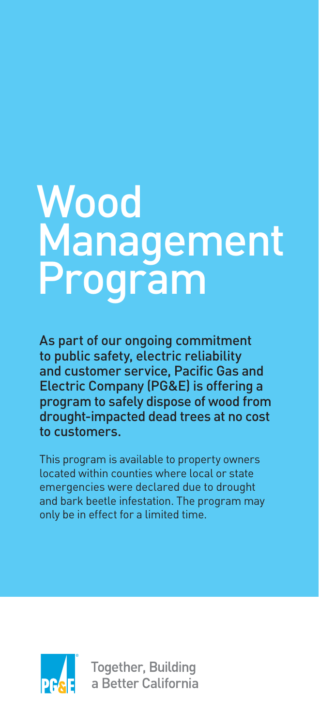# Wood **Management** Program

As part of our ongoing commitment to public safety, electric reliability and customer service, Pacific Gas and Electric Company (PG&E) is offering a program to safely dispose of wood from drought-impacted dead trees at no cost to customers.

This program is available to property owners located within counties where local or state emergencies were declared due to drought and bark beetle infestation. The program may only be in effect for a limited time.



**Together, Building** a Better California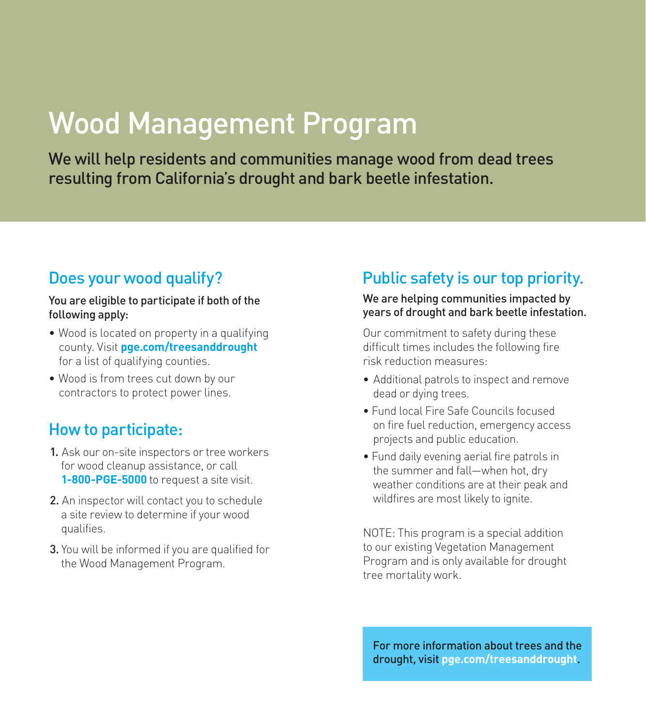# Wood Management Program

We will help residents and communities manage wood from dead trees resulting from California's drought and bark beetle infestation.

### Does your wood qualify?

#### You are eligible to participate if both of the following apply:

- Wood is located on property in a qualifying county. Visit **[pge.com/treesanddrought](www.pge.com/treesanddrought)** for a list of qualifying counties.
- Wood is from trees cut down by our contractors to protect power lines.

#### How to participate:

- 1. Ask our on-site inspectors or tree workers for wood cleanup assistance, or call **1-800-PGE-5000** to request a site visit.
- 2. An inspector will contact you to schedule a site review to determine if your wood qualifies.
- 3. You will be informed if you are qualified for the Wood Management Program.

## Public safety is our top priority.

#### We are helping communities impacted by years of drought and bark beetle infestation.

Our commitment to safety during these difficult times includes the following fire risk reduction measures:

- Additional patrols to inspect and remove dead or dying trees.
- Fund local Fire Safe Councils focused on fire fuel reduction, emergency access projects and public education.
- Fund daily evening aerial fire patrols in the summer and fall—when hot, dry weather conditions are at their peak and wildfires are most likely to ignite.

NOTE: This program is a special addition to our existing Vegetation Management Program and is only available for drought tree mortality work.

For more information about trees and the drought, visit **[pge.com/treesanddrought](www.pge.com/treesanddrought)**.